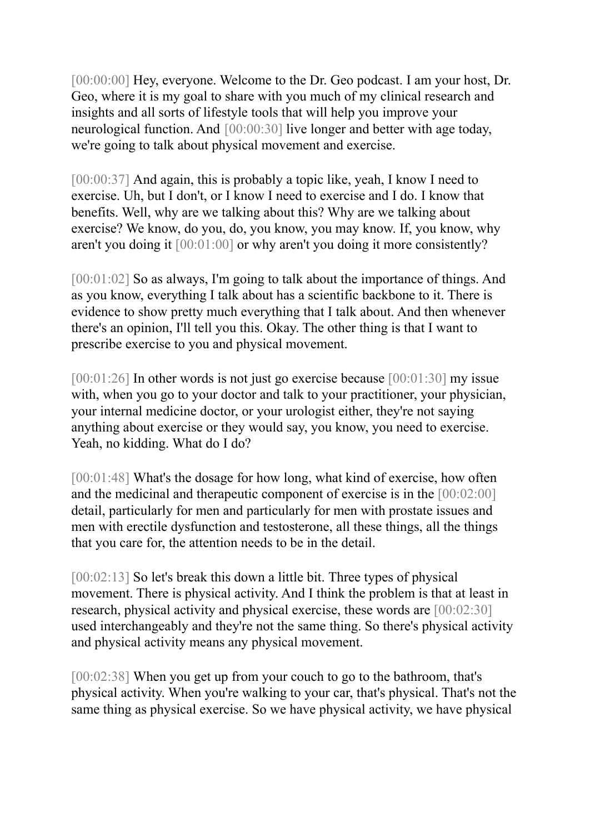[00:00:00] Hey, everyone. Welcome to the Dr. Geo podcast. I am your host, Dr. Geo, where it is my goal to share with you much of my clinical research and insights and all sorts of lifestyle tools that will help you improve your neurological function. And [00:00:30] live longer and better with age today, we're going to talk about physical movement and exercise.

[00:00:37] And again, this is probably a topic like, yeah, I know I need to exercise. Uh, but I don't, or I know I need to exercise and I do. I know that benefits. Well, why are we talking about this? Why are we talking about exercise? We know, do you, do, you know, you may know. If, you know, why aren't you doing it [00:01:00] or why aren't you doing it more consistently?

[00:01:02] So as always, I'm going to talk about the importance of things. And as you know, everything I talk about has a scientific backbone to it. There is evidence to show pretty much everything that I talk about. And then whenever there's an opinion, I'll tell you this. Okay. The other thing is that I want to prescribe exercise to you and physical movement.

[00:01:26] In other words is not just go exercise because [00:01:30] my issue with, when you go to your doctor and talk to your practitioner, your physician, your internal medicine doctor, or your urologist either, they're not saying anything about exercise or they would say, you know, you need to exercise. Yeah, no kidding. What do I do?

[00:01:48] What's the dosage for how long, what kind of exercise, how often and the medicinal and therapeutic component of exercise is in the [00:02:00] detail, particularly for men and particularly for men with prostate issues and men with erectile dysfunction and testosterone, all these things, all the things that you care for, the attention needs to be in the detail.

[00:02:13] So let's break this down a little bit. Three types of physical movement. There is physical activity. And I think the problem is that at least in research, physical activity and physical exercise, these words are [00:02:30] used interchangeably and they're not the same thing. So there's physical activity and physical activity means any physical movement.

[00:02:38] When you get up from your couch to go to the bathroom, that's physical activity. When you're walking to your car, that's physical. That's not the same thing as physical exercise. So we have physical activity, we have physical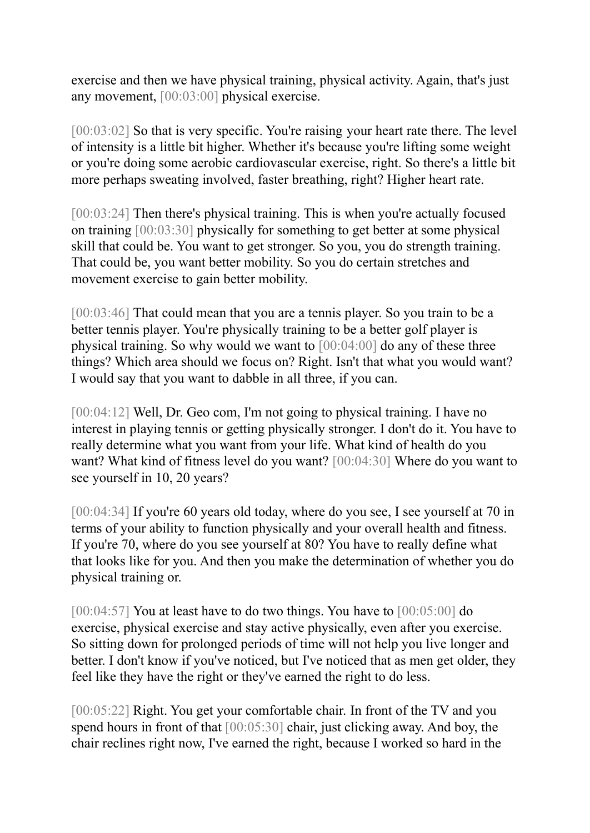exercise and then we have physical training, physical activity. Again, that's just any movement, [00:03:00] physical exercise.

[00:03:02] So that is very specific. You're raising your heart rate there. The level of intensity is a little bit higher. Whether it's because you're lifting some weight or you're doing some aerobic cardiovascular exercise, right. So there's a little bit more perhaps sweating involved, faster breathing, right? Higher heart rate.

[00:03:24] Then there's physical training. This is when you're actually focused on training [00:03:30] physically for something to get better at some physical skill that could be. You want to get stronger. So you, you do strength training. That could be, you want better mobility. So you do certain stretches and movement exercise to gain better mobility.

[00:03:46] That could mean that you are a tennis player. So you train to be a better tennis player. You're physically training to be a better golf player is physical training. So why would we want to [00:04:00] do any of these three things? Which area should we focus on? Right. Isn't that what you would want? I would say that you want to dabble in all three, if you can.

[00:04:12] Well, Dr. Geo com, I'm not going to physical training. I have no interest in playing tennis or getting physically stronger. I don't do it. You have to really determine what you want from your life. What kind of health do you want? What kind of fitness level do you want? [00:04:30] Where do you want to see yourself in 10, 20 years?

[00:04:34] If you're 60 years old today, where do you see, I see yourself at 70 in terms of your ability to function physically and your overall health and fitness. If you're 70, where do you see yourself at 80? You have to really define what that looks like for you. And then you make the determination of whether you do physical training or.

[00:04:57] You at least have to do two things. You have to [00:05:00] do exercise, physical exercise and stay active physically, even after you exercise. So sitting down for prolonged periods of time will not help you live longer and better. I don't know if you've noticed, but I've noticed that as men get older, they feel like they have the right or they've earned the right to do less.

[00:05:22] Right. You get your comfortable chair. In front of the TV and you spend hours in front of that [00:05:30] chair, just clicking away. And boy, the chair reclines right now, I've earned the right, because I worked so hard in the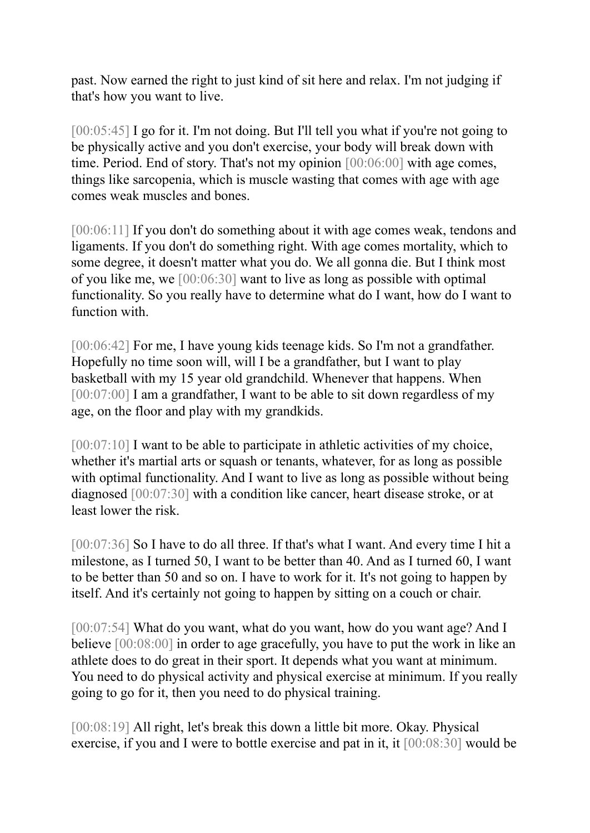past. Now earned the right to just kind of sit here and relax. I'm not judging if that's how you want to live.

[00:05:45] I go for it. I'm not doing. But I'll tell you what if you're not going to be physically active and you don't exercise, your body will break down with time. Period. End of story. That's not my opinion [00:06:00] with age comes, things like sarcopenia, which is muscle wasting that comes with age with age comes weak muscles and bones.

[00:06:11] If you don't do something about it with age comes weak, tendons and ligaments. If you don't do something right. With age comes mortality, which to some degree, it doesn't matter what you do. We all gonna die. But I think most of you like me, we [00:06:30] want to live as long as possible with optimal functionality. So you really have to determine what do I want, how do I want to function with.

[00:06:42] For me, I have young kids teenage kids. So I'm not a grandfather. Hopefully no time soon will, will I be a grandfather, but I want to play basketball with my 15 year old grandchild. Whenever that happens. When [00:07:00] I am a grandfather, I want to be able to sit down regardless of my age, on the floor and play with my grandkids.

[00:07:10] I want to be able to participate in athletic activities of my choice, whether it's martial arts or squash or tenants, whatever, for as long as possible with optimal functionality. And I want to live as long as possible without being diagnosed [00:07:30] with a condition like cancer, heart disease stroke, or at least lower the risk.

[00:07:36] So I have to do all three. If that's what I want. And every time I hit a milestone, as I turned 50, I want to be better than 40. And as I turned 60, I want to be better than 50 and so on. I have to work for it. It's not going to happen by itself. And it's certainly not going to happen by sitting on a couch or chair.

[00:07:54] What do you want, what do you want, how do you want age? And I believe [00:08:00] in order to age gracefully, you have to put the work in like an athlete does to do great in their sport. It depends what you want at minimum. You need to do physical activity and physical exercise at minimum. If you really going to go for it, then you need to do physical training.

[00:08:19] All right, let's break this down a little bit more. Okay. Physical exercise, if you and I were to bottle exercise and pat in it, it [00:08:30] would be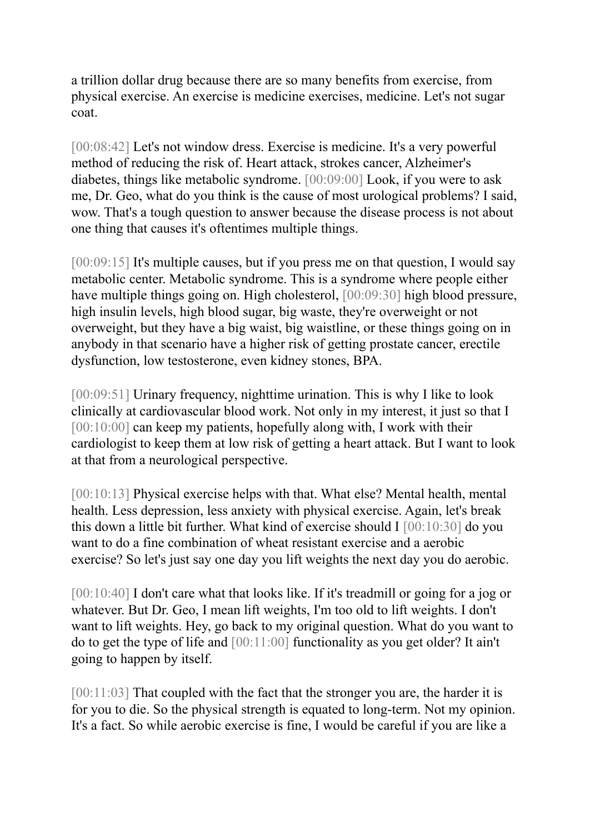a trillion dollar drug because there are so many benefits from exercise, from physical exercise. An exercise is medicine exercises, medicine. Let's not sugar coat.

[00:08:42] Let's not window dress. Exercise is medicine. It's a very powerful method of reducing the risk of. Heart attack, strokes cancer, Alzheimer's diabetes, things like metabolic syndrome. [00:09:00] Look, if you were to ask me, Dr. Geo, what do you think is the cause of most urological problems? I said, wow. That's a tough question to answer because the disease process is not about one thing that causes it's oftentimes multiple things.

[00:09:15] It's multiple causes, but if you press me on that question, I would say metabolic center. Metabolic syndrome. This is a syndrome where people either have multiple things going on. High cholesterol,  $[00:09:30]$  high blood pressure, high insulin levels, high blood sugar, big waste, they're overweight or not overweight, but they have a big waist, big waistline, or these things going on in anybody in that scenario have a higher risk of getting prostate cancer, erectile dysfunction, low testosterone, even kidney stones, BPA.

[00:09:51] Urinary frequency, nighttime urination. This is why I like to look clinically at cardiovascular blood work. Not only in my interest, it just so that I [00:10:00] can keep my patients, hopefully along with, I work with their cardiologist to keep them at low risk of getting a heart attack. But I want to look at that from a neurological perspective.

[00:10:13] Physical exercise helps with that. What else? Mental health, mental health. Less depression, less anxiety with physical exercise. Again, let's break this down a little bit further. What kind of exercise should I [00:10:30] do you want to do a fine combination of wheat resistant exercise and a aerobic exercise? So let's just say one day you lift weights the next day you do aerobic.

[00:10:40] I don't care what that looks like. If it's treadmill or going for a jog or whatever. But Dr. Geo, I mean lift weights, I'm too old to lift weights. I don't want to lift weights. Hey, go back to my original question. What do you want to do to get the type of life and [00:11:00] functionality as you get older? It ain't going to happen by itself.

[00:11:03] That coupled with the fact that the stronger you are, the harder it is for you to die. So the physical strength is equated to long-term. Not my opinion. It's a fact. So while aerobic exercise is fine, I would be careful if you are like a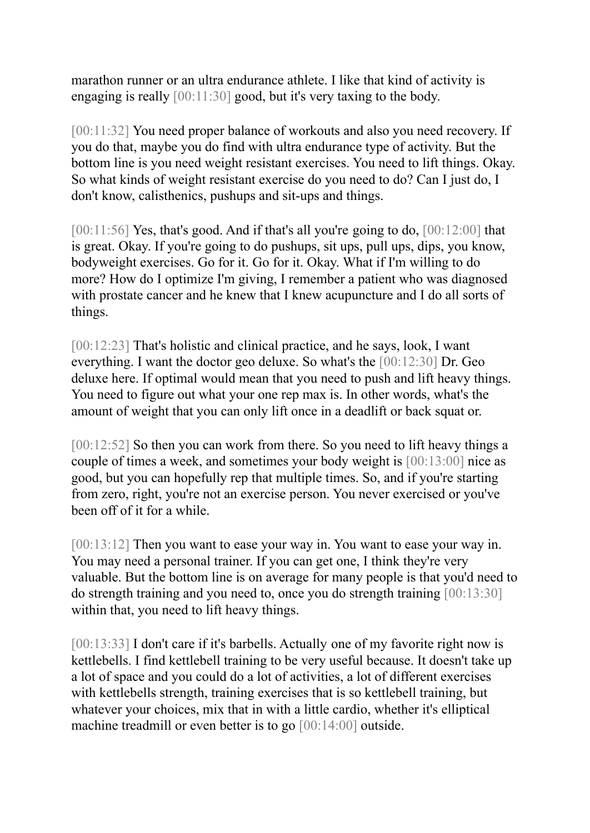marathon runner or an ultra endurance athlete. I like that kind of activity is engaging is really [00:11:30] good, but it's very taxing to the body.

[00:11:32] You need proper balance of workouts and also you need recovery. If you do that, maybe you do find with ultra endurance type of activity. But the bottom line is you need weight resistant exercises. You need to lift things. Okay. So what kinds of weight resistant exercise do you need to do? Can I just do, I don't know, calisthenics, pushups and sit-ups and things.

 $[00:11:56]$  Yes, that's good. And if that's all you're going to do,  $[00:12:00]$  that is great. Okay. If you're going to do pushups, sit ups, pull ups, dips, you know, bodyweight exercises. Go for it. Go for it. Okay. What if I'm willing to do more? How do I optimize I'm giving, I remember a patient who was diagnosed with prostate cancer and he knew that I knew acupuncture and I do all sorts of things.

[00:12:23] That's holistic and clinical practice, and he says, look, I want everything. I want the doctor geo deluxe. So what's the [00:12:30] Dr. Geo deluxe here. If optimal would mean that you need to push and lift heavy things. You need to figure out what your one rep max is. In other words, what's the amount of weight that you can only lift once in a deadlift or back squat or.

[00:12:52] So then you can work from there. So you need to lift heavy things a couple of times a week, and sometimes your body weight is [00:13:00] nice as good, but you can hopefully rep that multiple times. So, and if you're starting from zero, right, you're not an exercise person. You never exercised or you've been off of it for a while.

[00:13:12] Then you want to ease your way in. You want to ease your way in. You may need a personal trainer. If you can get one, I think they're very valuable. But the bottom line is on average for many people is that you'd need to do strength training and you need to, once you do strength training [00:13:30] within that, you need to lift heavy things.

[00:13:33] I don't care if it's barbells. Actually one of my favorite right now is kettlebells. I find kettlebell training to be very useful because. It doesn't take up a lot of space and you could do a lot of activities, a lot of different exercises with kettlebells strength, training exercises that is so kettlebell training, but whatever your choices, mix that in with a little cardio, whether it's elliptical machine treadmill or even better is to go [00:14:00] outside.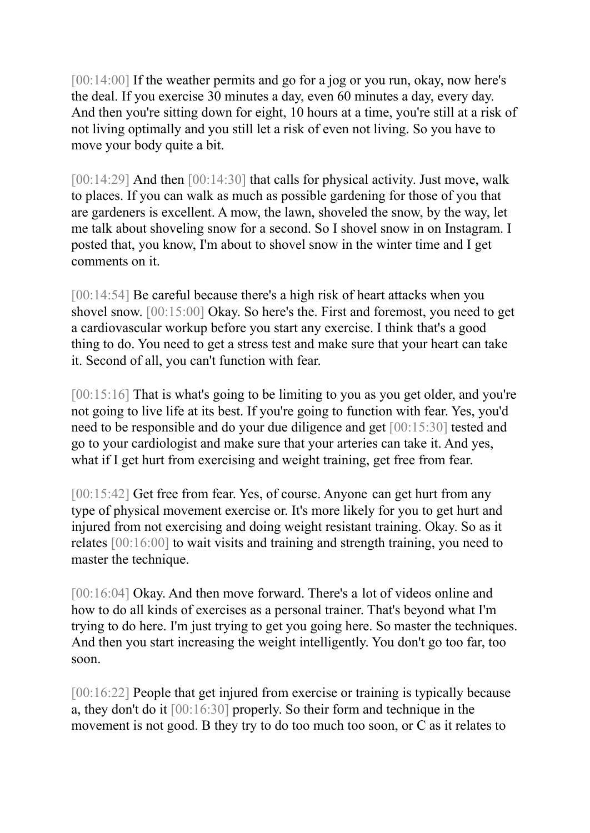[00:14:00] If the weather permits and go for a jog or you run, okay, now here's the deal. If you exercise 30 minutes a day, even 60 minutes a day, every day. And then you're sitting down for eight, 10 hours at a time, you're still at a risk of not living optimally and you still let a risk of even not living. So you have to move your body quite a bit.

[00:14:29] And then [00:14:30] that calls for physical activity. Just move, walk to places. If you can walk as much as possible gardening for those of you that are gardeners is excellent. A mow, the lawn, shoveled the snow, by the way, let me talk about shoveling snow for a second. So I shovel snow in on Instagram. I posted that, you know, I'm about to shovel snow in the winter time and I get comments on it.

[00:14:54] Be careful because there's a high risk of heart attacks when you shovel snow. [00:15:00] Okay. So here's the. First and foremost, you need to get a cardiovascular workup before you start any exercise. I think that's a good thing to do. You need to get a stress test and make sure that your heart can take it. Second of all, you can't function with fear.

[00:15:16] That is what's going to be limiting to you as you get older, and you're not going to live life at its best. If you're going to function with fear. Yes, you'd need to be responsible and do your due diligence and get [00:15:30] tested and go to your cardiologist and make sure that your arteries can take it. And yes, what if I get hurt from exercising and weight training, get free from fear.

[00:15:42] Get free from fear. Yes, of course. Anyone can get hurt from any type of physical movement exercise or. It's more likely for you to get hurt and injured from not exercising and doing weight resistant training. Okay. So as it relates [00:16:00] to wait visits and training and strength training, you need to master the technique.

[00:16:04] Okay. And then move forward. There's a lot of videos online and how to do all kinds of exercises as a personal trainer. That's beyond what I'm trying to do here. I'm just trying to get you going here. So master the techniques. And then you start increasing the weight intelligently. You don't go too far, too soon.

[00:16:22] People that get injured from exercise or training is typically because a, they don't do it [00:16:30] properly. So their form and technique in the movement is not good. B they try to do too much too soon, or C as it relates to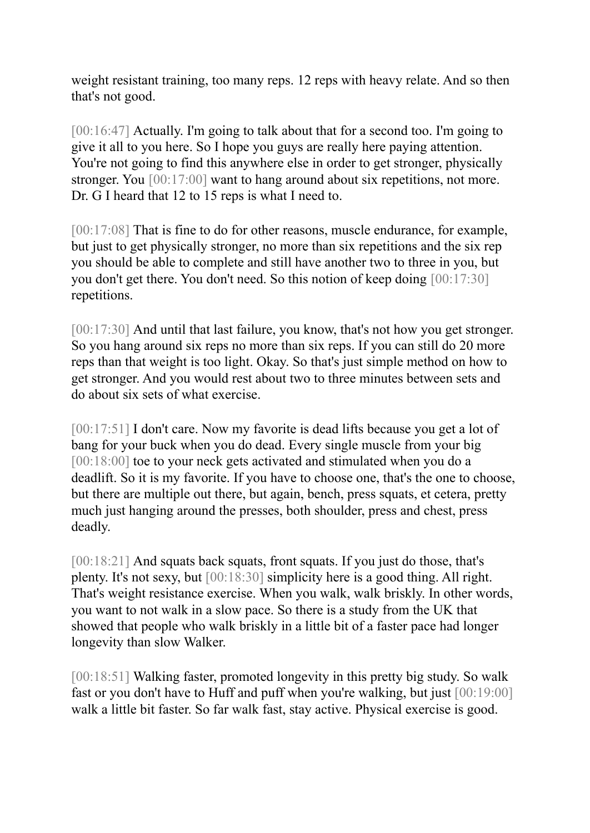weight resistant training, too many reps. 12 reps with heavy relate. And so then that's not good.

[00:16:47] Actually. I'm going to talk about that for a second too. I'm going to give it all to you here. So I hope you guys are really here paying attention. You're not going to find this anywhere else in order to get stronger, physically stronger. You [00:17:00] want to hang around about six repetitions, not more. Dr. G I heard that 12 to 15 reps is what I need to.

[00:17:08] That is fine to do for other reasons, muscle endurance, for example, but just to get physically stronger, no more than six repetitions and the six rep you should be able to complete and still have another two to three in you, but you don't get there. You don't need. So this notion of keep doing [00:17:30] repetitions.

[00:17:30] And until that last failure, you know, that's not how you get stronger. So you hang around six reps no more than six reps. If you can still do 20 more reps than that weight is too light. Okay. So that's just simple method on how to get stronger. And you would rest about two to three minutes between sets and do about six sets of what exercise.

[00:17:51] I don't care. Now my favorite is dead lifts because you get a lot of bang for your buck when you do dead. Every single muscle from your big [00:18:00] toe to your neck gets activated and stimulated when you do a deadlift. So it is my favorite. If you have to choose one, that's the one to choose, but there are multiple out there, but again, bench, press squats, et cetera, pretty much just hanging around the presses, both shoulder, press and chest, press deadly.

[00:18:21] And squats back squats, front squats. If you just do those, that's plenty. It's not sexy, but [00:18:30] simplicity here is a good thing. All right. That's weight resistance exercise. When you walk, walk briskly. In other words, you want to not walk in a slow pace. So there is a study from the UK that showed that people who walk briskly in a little bit of a faster pace had longer longevity than slow Walker.

[00:18:51] Walking faster, promoted longevity in this pretty big study. So walk fast or you don't have to Huff and puff when you're walking, but just [00:19:00] walk a little bit faster. So far walk fast, stay active. Physical exercise is good.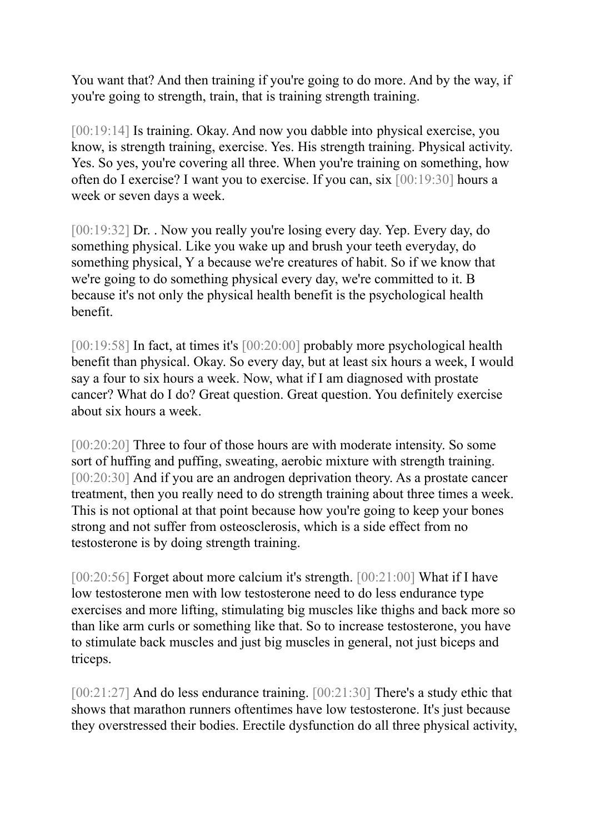You want that? And then training if you're going to do more. And by the way, if you're going to strength, train, that is training strength training.

[00:19:14] Is training. Okay. And now you dabble into physical exercise, you know, is strength training, exercise. Yes. His strength training. Physical activity. Yes. So yes, you're covering all three. When you're training on something, how often do I exercise? I want you to exercise. If you can, six [00:19:30] hours a week or seven days a week.

[00:19:32] Dr. . Now you really you're losing every day. Yep. Every day, do something physical. Like you wake up and brush your teeth everyday, do something physical, Y a because we're creatures of habit. So if we know that we're going to do something physical every day, we're committed to it. B because it's not only the physical health benefit is the psychological health benefit.

[00:19:58] In fact, at times it's [00:20:00] probably more psychological health benefit than physical. Okay. So every day, but at least six hours a week, I would say a four to six hours a week. Now, what if I am diagnosed with prostate cancer? What do I do? Great question. Great question. You definitely exercise about six hours a week.

[00:20:20] Three to four of those hours are with moderate intensity. So some sort of huffing and puffing, sweating, aerobic mixture with strength training. [00:20:30] And if you are an androgen deprivation theory. As a prostate cancer treatment, then you really need to do strength training about three times a week. This is not optional at that point because how you're going to keep your bones strong and not suffer from osteosclerosis, which is a side effect from no testosterone is by doing strength training.

[00:20:56] Forget about more calcium it's strength. [00:21:00] What if I have low testosterone men with low testosterone need to do less endurance type exercises and more lifting, stimulating big muscles like thighs and back more so than like arm curls or something like that. So to increase testosterone, you have to stimulate back muscles and just big muscles in general, not just biceps and triceps.

[00:21:27] And do less endurance training. [00:21:30] There's a study ethic that shows that marathon runners oftentimes have low testosterone. It's just because they overstressed their bodies. Erectile dysfunction do all three physical activity,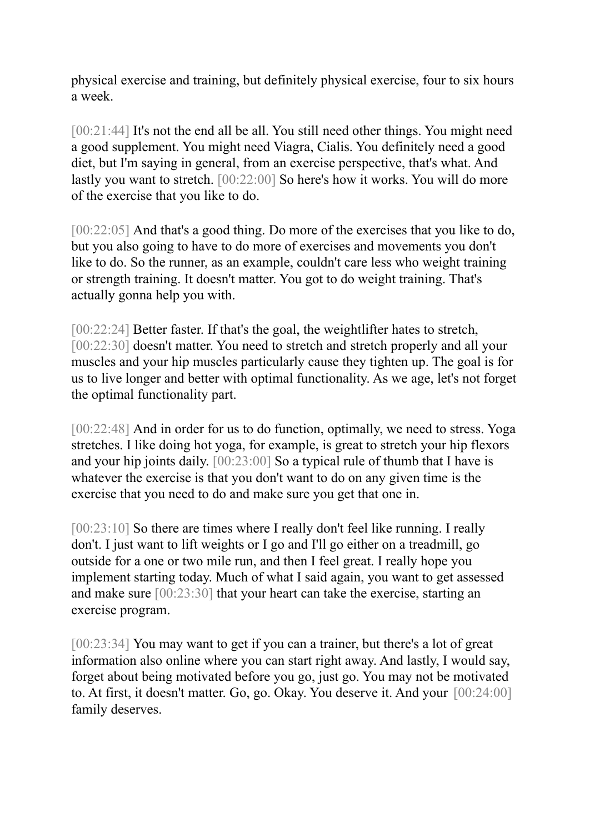physical exercise and training, but definitely physical exercise, four to six hours a week.

[00:21:44] It's not the end all be all. You still need other things. You might need a good supplement. You might need Viagra, Cialis. You definitely need a good diet, but I'm saying in general, from an exercise perspective, that's what. And lastly you want to stretch. [00:22:00] So here's how it works. You will do more of the exercise that you like to do.

[00:22:05] And that's a good thing. Do more of the exercises that you like to do, but you also going to have to do more of exercises and movements you don't like to do. So the runner, as an example, couldn't care less who weight training or strength training. It doesn't matter. You got to do weight training. That's actually gonna help you with.

[00:22:24] Better faster. If that's the goal, the weightlifter hates to stretch, [00:22:30] doesn't matter. You need to stretch and stretch properly and all your muscles and your hip muscles particularly cause they tighten up. The goal is for us to live longer and better with optimal functionality. As we age, let's not forget the optimal functionality part.

[00:22:48] And in order for us to do function, optimally, we need to stress. Yoga stretches. I like doing hot yoga, for example, is great to stretch your hip flexors and your hip joints daily. [00:23:00] So a typical rule of thumb that I have is whatever the exercise is that you don't want to do on any given time is the exercise that you need to do and make sure you get that one in.

[00:23:10] So there are times where I really don't feel like running. I really don't. I just want to lift weights or I go and I'll go either on a treadmill, go outside for a one or two mile run, and then I feel great. I really hope you implement starting today. Much of what I said again, you want to get assessed and make sure [00:23:30] that your heart can take the exercise, starting an exercise program.

[00:23:34] You may want to get if you can a trainer, but there's a lot of great information also online where you can start right away. And lastly, I would say, forget about being motivated before you go, just go. You may not be motivated to. At first, it doesn't matter. Go, go. Okay. You deserve it. And your [00:24:00] family deserves.